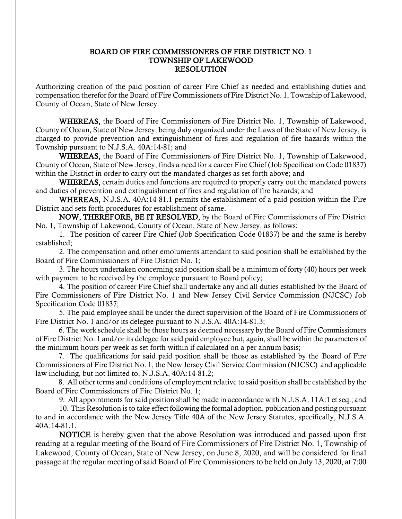## BOARD OF FIRE COMMISSIONERS OF FIRE DISTRICT NO. 1 TOWNSHIP OF LAKEWOOD RESOLUTION

Authorizing creation of the paid position of career Fire Chief as needed and establishing duties and compensation therefor for the Board of Fire Commissioners of Fire District No. 1, Township of Lakewood, County of Ocean, State of New Jersey.

WHEREAS, the Board of Fire Commissioners of Fire District No. 1, Township of Lakewood, County of Ocean, State of New Jersey, being duly organized under the Laws of the State of New Jersey, is charged to provide prevention and extinguishment of fires and regulation of fire hazards within the Township pursuant to N.J.S.A. 40A:14-81; and

WHEREAS, the Board of Fire Commissioners of Fire District No. 1, Township of Lakewood, County of Ocean, State of New Jersey, finds a need for a career Fire Chief (Job Specification Code 01837) within the District in order to carry out the mandated charges as set forth above; and

WHEREAS, certain duties and functions are required to properly carry out the mandated powers and duties of prevention and extinguishment of fires and regulation of fire hazards; and

WHEREAS, N.J.S.A. 40A:14-81.1 permits the establishment of a paid position within the Fire District and sets forth procedures for establishment of same.

NOW, THEREFORE, BE IT RESOLVED, by the Board of Fire Commissioners of Fire District No. 1, Township of Lakewood, County of Ocean, State of New Jersey, as follows:

1. The position of career Fire Chief (Job Specification Code 01837) be and the same is hereby established;

2. The compensation and other emoluments attendant to said position shall be established by the Board of Fire Commissioners of Fire District No. 1;

3. The hours undertaken concerning said position shall be a minimum of forty (40) hours per week with payment to be received by the employee pursuant to Board policy;

4. The position of career Fire Chief shall undertake any and all duties established by the Board of Fire Commissioners of Fire District No. 1 and New Jersey Civil Service Commission (NJCSC) Job Specification Code 01837;

5. The paid employee shall be under the direct supervision of the Board of Fire Commissioners of Fire District No. 1 and/or its delegee pursuant to N.J.S.A. 40A:14-81.3;

 6. The work schedule shall be those hours as deemed necessary by the Board of Fire Commissioners of Fire District No. 1 and/or its delegee for said paid employee but, again, shall be within the parameters of the minimum hours per week as set forth within if calculated on a per annum basis;

 7. The qualifications for said paid position shall be those as established by the Board of Fire Commissioners of Fire District No. 1, the New Jersey Civil Service Commission (NJCSC) and applicable law including, but not limited to, N.J.S.A. 40A:14-81.2;

 8. All other terms and conditions of employment relative to said position shall be established by the Board of Fire Commissioners of Fire District No. 1;

9. All appointments for said position shall be made in accordance with N.J.S.A. 11A:1 et seq.; and

10. This Resolution is to take effect following the formal adoption, publication and posting pursuant to and in accordance with the New Jersey Title 40A of the New Jersey Statutes, specifically, N.J.S.A. 40A:14-81.1.

NOTICE is hereby given that the above Resolution was introduced and passed upon first reading at a regular meeting of the Board of Fire Commissioners of Fire District No. 1, Township of Lakewood, County of Ocean, State of New Jersey, on June 8, 2020, and will be considered for final passage at the regular meeting of said Board of Fire Commissioners to be held on July 13, 2020, at 7:00